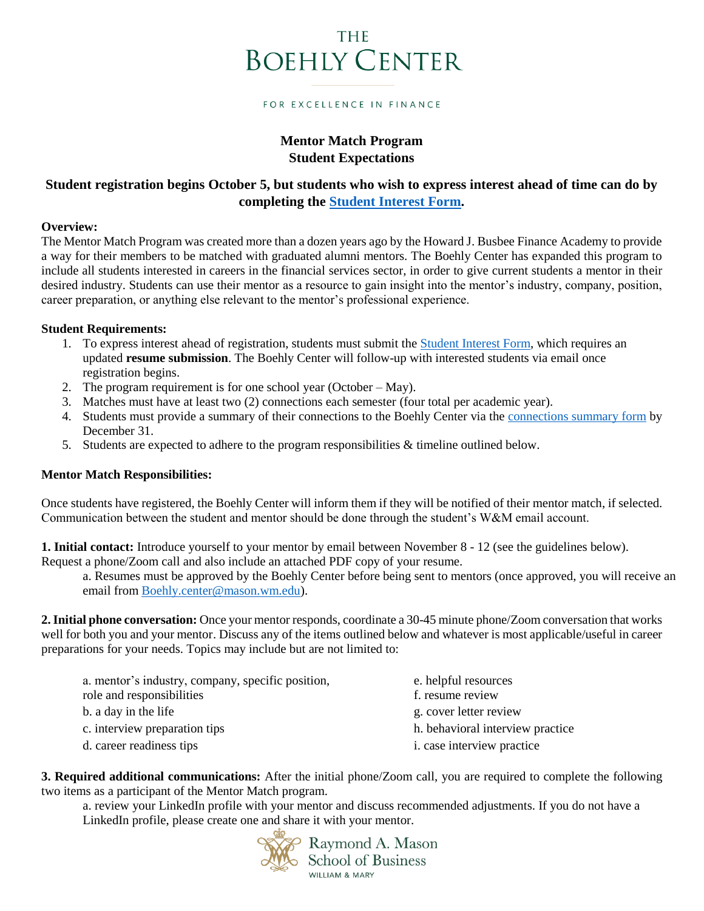# THE **BOEHLY CENTER**

#### FOR EXCELLENCE IN FINANCE

## **Mentor Match Program Student Expectations**

## **Student registration begins October 5, but students who wish to express interest ahead of time can do by completing the [Student Interest Form.](https://wmsas.qualtrics.com/jfe/form/SV_d0Qi51U8Mpr1dGu)**

### **Overview:**

The Mentor Match Program was created more than a dozen years ago by the Howard J. Busbee Finance Academy to provide a way for their members to be matched with graduated alumni mentors. The Boehly Center has expanded this program to include all students interested in careers in the financial services sector, in order to give current students a mentor in their desired industry. Students can use their mentor as a resource to gain insight into the mentor's industry, company, position, career preparation, or anything else relevant to the mentor's professional experience.

## **Student Requirements:**

- 1. To express interest ahead of registration, students must submit the [Student Interest Form,](https://wmsas.qualtrics.com/jfe/form/SV_d0Qi51U8Mpr1dGu) which requires an updated **resume submission**. The Boehly Center will follow-up with interested students via email once registration begins.
- 2. The program requirement is for one school year (October May).
- 3. Matches must have at least two (2) connections each semester (four total per academic year).
- 4. Students must provide a summary of their connections to the Boehly Center via th[e connections summary form](https://wmsas.qualtrics.com/jfe/form/SV_80t4DsKlgK2Kdi6) by December 31.
- 5. Students are expected to adhere to the program responsibilities & timeline outlined below.

## **Mentor Match Responsibilities:**

Once students have registered, the Boehly Center will inform them if they will be notified of their mentor match, if selected. Communication between the student and mentor should be done through the student's W&M email account.

**1. Initial contact:** Introduce yourself to your mentor by email between November 8 - 12 (see the guidelines below). Request a phone/Zoom call and also include an attached PDF copy of your resume.

a. Resumes must be approved by the Boehly Center before being sent to mentors (once approved, you will receive an email from [Boehly.center@mason.wm.edu\)](mailto:Boehly.center@mason.wm.edu).

**2.Initial phone conversation:** Once your mentor responds, coordinate a 30-45 minute phone/Zoom conversation that works well for both you and your mentor. Discuss any of the items outlined below and whatever is most applicable/useful in career preparations for your needs. Topics may include but are not limited to:

| a. mentor's industry, company, specific position, | e. helpful resources              |
|---------------------------------------------------|-----------------------------------|
| role and responsibilities                         | f. resume review                  |
| b. a day in the life                              | g. cover letter review            |
| c. interview preparation tips                     | h. behavioral interview practice  |
| d. career readiness tips                          | <i>i.</i> case interview practice |

**3. Required additional communications:** After the initial phone/Zoom call, you are required to complete the following two items as a participant of the Mentor Match program.

a. review your LinkedIn profile with your mentor and discuss recommended adjustments. If you do not have a LinkedIn profile, please create one and share it with your mentor.

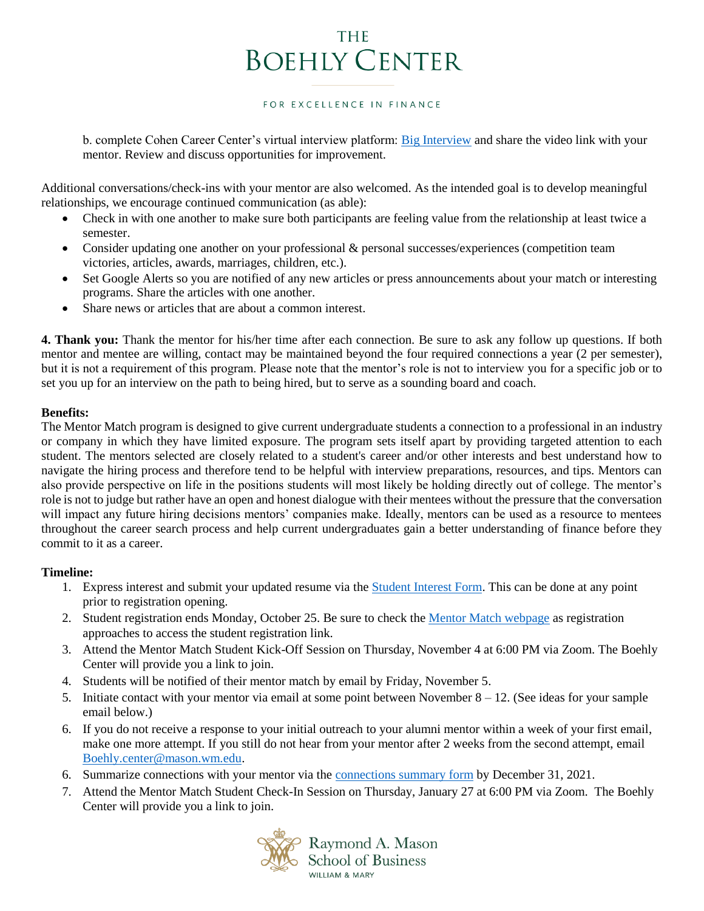# THE **BOEHLY CENTER**

#### FOR EXCELLENCE IN FINANCE

b. complete Cohen Career Center's virtual interview platform: [Big Interview](https://wm.biginterview.com/) and share the video link with your mentor. Review and discuss opportunities for improvement.

Additional conversations/check-ins with your mentor are also welcomed. As the intended goal is to develop meaningful relationships, we encourage continued communication (as able):

- Check in with one another to make sure both participants are feeling value from the relationship at least twice a semester.
- Consider updating one another on your professional & personal successes/experiences (competition team victories, articles, awards, marriages, children, etc.).
- Set Google Alerts so you are notified of any new articles or press announcements about your match or interesting programs. Share the articles with one another.
- Share news or articles that are about a common interest.

**4. Thank you:** Thank the mentor for his/her time after each connection. Be sure to ask any follow up questions. If both mentor and mentee are willing, contact may be maintained beyond the four required connections a year (2 per semester), but it is not a requirement of this program. Please note that the mentor's role is not to interview you for a specific job or to set you up for an interview on the path to being hired, but to serve as a sounding board and coach.

## **Benefits:**

The Mentor Match program is designed to give current undergraduate students a connection to a professional in an industry or company in which they have limited exposure. The program sets itself apart by providing targeted attention to each student. The mentors selected are closely related to a student's career and/or other interests and best understand how to navigate the hiring process and therefore tend to be helpful with interview preparations, resources, and tips. Mentors can also provide perspective on life in the positions students will most likely be holding directly out of college. The mentor's role is not to judge but rather have an open and honest dialogue with their mentees without the pressure that the conversation will impact any future hiring decisions mentors' companies make. Ideally, mentors can be used as a resource to mentees throughout the career search process and help current undergraduates gain a better understanding of finance before they commit to it as a career.

## **Timeline:**

- 1. Express interest and submit your updated resume via the [Student Interest Form.](https://wmsas.qualtrics.com/jfe/form/SV_d0Qi51U8Mpr1dGu) This can be done at any point prior to registration opening.
- 2. Student registration ends Monday, October 25. Be sure to check the [Mentor Match webpage](https://boehlycenter.mason.wm.edu/programs-clubs/mentor-match-program/) as registration approaches to access the student registration link.
- 3. Attend the Mentor Match Student Kick-Off Session on Thursday, November 4 at 6:00 PM via Zoom. The Boehly Center will provide you a link to join.
- 4. Students will be notified of their mentor match by email by Friday, November 5.
- 5. Initiate contact with your mentor via email at some point between November  $8 12$ . (See ideas for your sample email below.)
- 6. If you do not receive a response to your initial outreach to your alumni mentor within a week of your first email, make one more attempt. If you still do not hear from your mentor after 2 weeks from the second attempt, email [Boehly.center@mason.wm.edu.](mailto:Boehly.center@mason.wm.edu)
- 6. Summarize connections with your mentor via the [connections summary form](https://wmsas.qualtrics.com/jfe/form/SV_80t4DsKlgK2Kdi6) by December 31, 2021.
- 7. Attend the Mentor Match Student Check-In Session on Thursday, January 27 at 6:00 PM via Zoom. The Boehly Center will provide you a link to join.